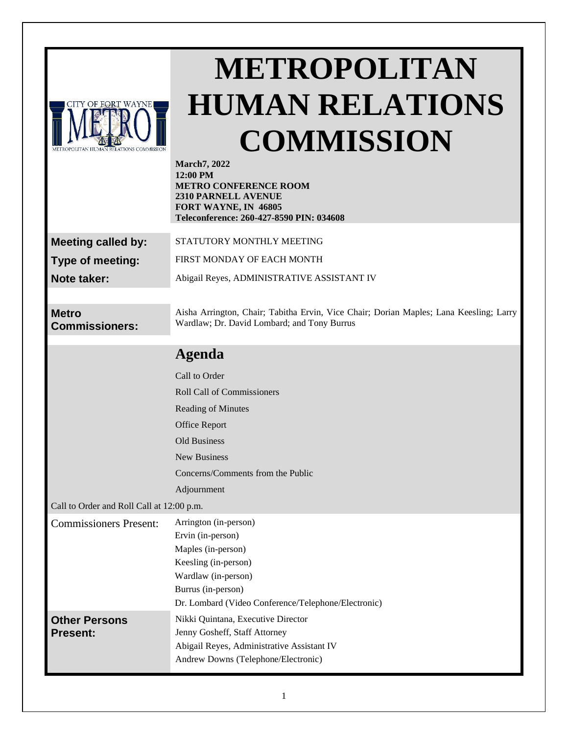| CITY OF FORT WAYNE                      |  |
|-----------------------------------------|--|
|                                         |  |
|                                         |  |
|                                         |  |
| METROPOLITAN HUMAN RELATIONS COMMISSION |  |

# **METROPOLITAN HUMAN RELATIONS COMMISSION**

| <b>March7</b> , 2022<br>12:00 PM<br><b>METRO CONFERENCE ROOM</b><br>2310 PARNELL AVENUE<br>FORT WAYNE, IN 46805<br>Teleconference: 260-427-8590 PIN: 034608 |
|-------------------------------------------------------------------------------------------------------------------------------------------------------------|
| STATUTORY MONTHLY MEETING                                                                                                                                   |
| FIRST MONDAY OF EACH MONTH                                                                                                                                  |
| Abigail Reyes, ADMINISTRATIVE ASSISTANT IV                                                                                                                  |
|                                                                                                                                                             |
| Aisha Arrington, Chair; Tabitha Ervin, Vice Chair; Dorian Maples; Lana Keesling; Larry<br>Wardlaw; Dr. David Lombard; and Tony Burrus                       |
| <b>Agenda</b>                                                                                                                                               |
| Call to Order                                                                                                                                               |
| <b>Roll Call of Commissioners</b>                                                                                                                           |
| <b>Reading of Minutes</b>                                                                                                                                   |
| <b>Office Report</b>                                                                                                                                        |
| <b>Old Business</b>                                                                                                                                         |
| New Business                                                                                                                                                |
| Concerns/Comments from the Public                                                                                                                           |
| Adjournment                                                                                                                                                 |
| Call to Order and Roll Call at 12:00 p.m.                                                                                                                   |
| Arrington (in-person)<br>Ervin (in-person)<br>Maples (in-person)<br>Keesling (in-person)<br>Wardlaw (in-person)<br>Burrus (in-person)                       |
| Dr. Lombard (Video Conference/Telephone/Electronic)                                                                                                         |
| Nikki Quintana, Executive Director<br>Jenny Gosheff, Staff Attorney<br>Abigail Reyes, Administrative Assistant IV<br>Andrew Downs (Telephone/Electronic)    |
|                                                                                                                                                             |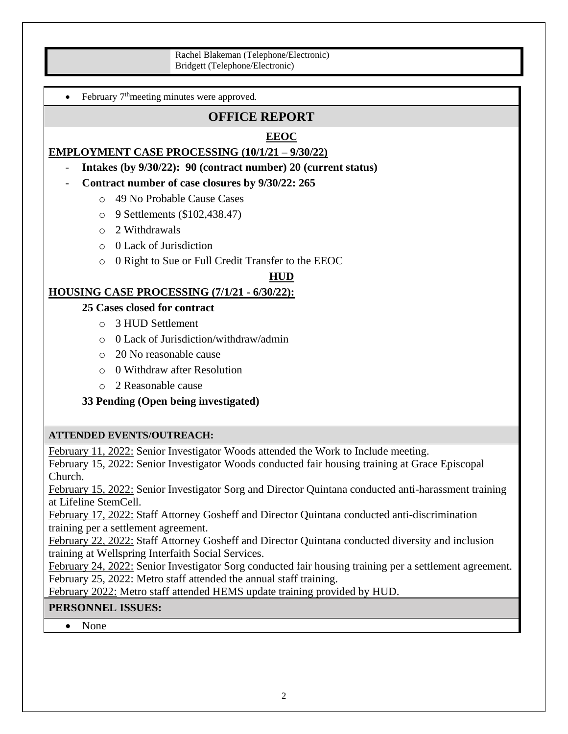Rachel Blakeman (Telephone/Electronic) Bridgett (Telephone/Electronic)

• February 7<sup>th</sup>meeting minutes were approved.

## **OFFICE REPORT**

#### **EEOC**

#### **EMPLOYMENT CASE PROCESSING (10/1/21 – 9/30/22)**

- **Intakes (by 9/30/22): 90 (contract number) 20 (current status)**
- **Contract number of case closures by 9/30/22: 265**
	- o 49 No Probable Cause Cases
	- o 9 Settlements (\$102,438.47)
	- o 2 Withdrawals
	- o 0 Lack of Jurisdiction
	- o 0 Right to Sue or Full Credit Transfer to the EEOC

#### **HUD**

#### **HOUSING CASE PROCESSING (7/1/21 - 6/30/22):**

#### **25 Cases closed for contract**

- o 3 HUD Settlement
- o 0 Lack of Jurisdiction/withdraw/admin
- o 20 No reasonable cause
- o 0 Withdraw after Resolution
- o 2 Reasonable cause

#### **33 Pending (Open being investigated)**

#### **ATTENDED EVENTS/OUTREACH:**

February 11, 2022: Senior Investigator Woods attended the Work to Include meeting.

February 15, 2022: Senior Investigator Woods conducted fair housing training at Grace Episcopal Church.

February 15, 2022: Senior Investigator Sorg and Director Quintana conducted anti-harassment training at Lifeline StemCell.

February 17, 2022: Staff Attorney Gosheff and Director Quintana conducted anti-discrimination training per a settlement agreement.

February 22, 2022: Staff Attorney Gosheff and Director Quintana conducted diversity and inclusion training at Wellspring Interfaith Social Services.

February 24, 2022: Senior Investigator Sorg conducted fair housing training per a settlement agreement. February 25, 2022: Metro staff attended the annual staff training.

February 2022: Metro staff attended HEMS update training provided by HUD.

#### **PERSONNEL ISSUES:**

• None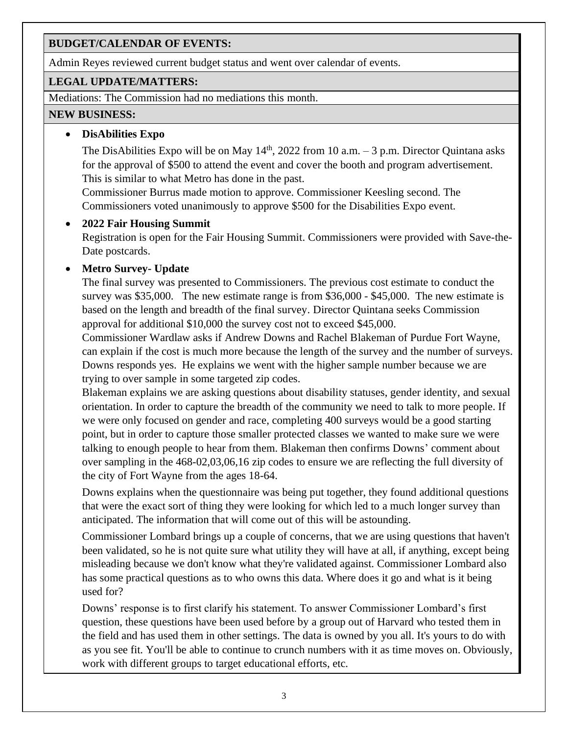### **BUDGET/CALENDAR OF EVENTS:**

Admin Reyes reviewed current budget status and went over calendar of events.

#### **LEGAL UPDATE/MATTERS:**

Mediations: The Commission had no mediations this month.

#### **NEW BUSINESS:**

#### • **DisAbilities Expo**

The DisAbilities Expo will be on May  $14<sup>th</sup>$ , 2022 from 10 a.m. – 3 p.m. Director Quintana asks for the approval of \$500 to attend the event and cover the booth and program advertisement. This is similar to what Metro has done in the past.

Commissioner Burrus made motion to approve. Commissioner Keesling second. The Commissioners voted unanimously to approve \$500 for the Disabilities Expo event.

#### • **2022 Fair Housing Summit**

Registration is open for the Fair Housing Summit. Commissioners were provided with Save-the-Date postcards.

## • **Metro Survey- Update**

The final survey was presented to Commissioners. The previous cost estimate to conduct the survey was \$35,000. The new estimate range is from \$36,000 - \$45,000. The new estimate is based on the length and breadth of the final survey. Director Quintana seeks Commission approval for additional \$10,000 the survey cost not to exceed \$45,000.

Commissioner Wardlaw asks if Andrew Downs and Rachel Blakeman of Purdue Fort Wayne, can explain if the cost is much more because the length of the survey and the number of surveys. Downs responds yes. He explains we went with the higher sample number because we are trying to over sample in some targeted zip codes.

Blakeman explains we are asking questions about disability statuses, gender identity, and sexual orientation. In order to capture the breadth of the community we need to talk to more people. If we were only focused on gender and race, completing 400 surveys would be a good starting point, but in order to capture those smaller protected classes we wanted to make sure we were talking to enough people to hear from them. Blakeman then confirms Downs' comment about over sampling in the 468-02,03,06,16 zip codes to ensure we are reflecting the full diversity of the city of Fort Wayne from the ages 18-64.

Downs explains when the questionnaire was being put together, they found additional questions that were the exact sort of thing they were looking for which led to a much longer survey than anticipated. The information that will come out of this will be astounding.

Commissioner Lombard brings up a couple of concerns, that we are using questions that haven't been validated, so he is not quite sure what utility they will have at all, if anything, except being misleading because we don't know what they're validated against. Commissioner Lombard also has some practical questions as to who owns this data. Where does it go and what is it being used for?

Downs' response is to first clarify his statement. To answer Commissioner Lombard's first question, these questions have been used before by a group out of Harvard who tested them in the field and has used them in other settings. The data is owned by you all. It's yours to do with as you see fit. You'll be able to continue to crunch numbers with it as time moves on. Obviously, work with different groups to target educational efforts, etc.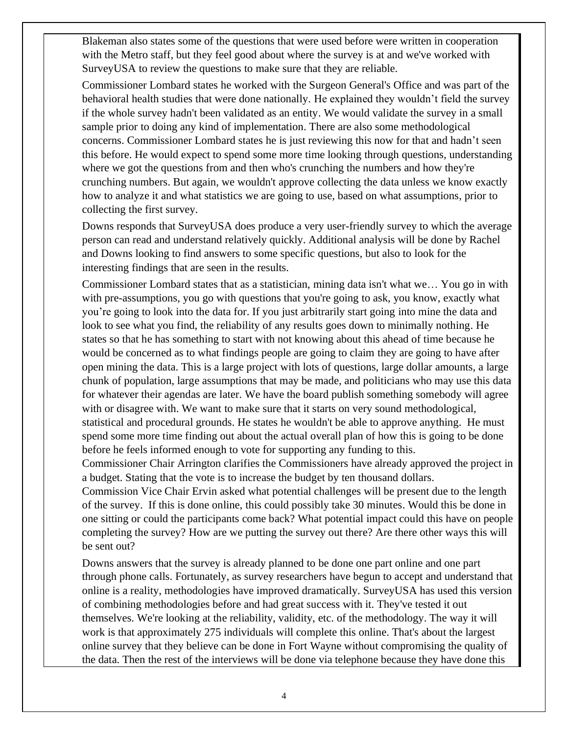Blakeman also states some of the questions that were used before were written in cooperation with the Metro staff, but they feel good about where the survey is at and we've worked with SurveyUSA to review the questions to make sure that they are reliable.

Commissioner Lombard states he worked with the Surgeon General's Office and was part of the behavioral health studies that were done nationally. He explained they wouldn't field the survey if the whole survey hadn't been validated as an entity. We would validate the survey in a small sample prior to doing any kind of implementation. There are also some methodological concerns. Commissioner Lombard states he is just reviewing this now for that and hadn't seen this before. He would expect to spend some more time looking through questions, understanding where we got the questions from and then who's crunching the numbers and how they're crunching numbers. But again, we wouldn't approve collecting the data unless we know exactly how to analyze it and what statistics we are going to use, based on what assumptions, prior to collecting the first survey.

Downs responds that SurveyUSA does produce a very user-friendly survey to which the average person can read and understand relatively quickly. Additional analysis will be done by Rachel and Downs looking to find answers to some specific questions, but also to look for the interesting findings that are seen in the results.

Commissioner Lombard states that as a statistician, mining data isn't what we… You go in with with pre-assumptions, you go with questions that you're going to ask, you know, exactly what you're going to look into the data for. If you just arbitrarily start going into mine the data and look to see what you find, the reliability of any results goes down to minimally nothing. He states so that he has something to start with not knowing about this ahead of time because he would be concerned as to what findings people are going to claim they are going to have after open mining the data. This is a large project with lots of questions, large dollar amounts, a large chunk of population, large assumptions that may be made, and politicians who may use this data for whatever their agendas are later. We have the board publish something somebody will agree with or disagree with. We want to make sure that it starts on very sound methodological, statistical and procedural grounds. He states he wouldn't be able to approve anything. He must spend some more time finding out about the actual overall plan of how this is going to be done before he feels informed enough to vote for supporting any funding to this.

Commissioner Chair Arrington clarifies the Commissioners have already approved the project in a budget. Stating that the vote is to increase the budget by ten thousand dollars.

Commission Vice Chair Ervin asked what potential challenges will be present due to the length of the survey. If this is done online, this could possibly take 30 minutes. Would this be done in one sitting or could the participants come back? What potential impact could this have on people completing the survey? How are we putting the survey out there? Are there other ways this will be sent out?

Downs answers that the survey is already planned to be done one part online and one part through phone calls. Fortunately, as survey researchers have begun to accept and understand that online is a reality, methodologies have improved dramatically. SurveyUSA has used this version of combining methodologies before and had great success with it. They've tested it out themselves. We're looking at the reliability, validity, etc. of the methodology. The way it will work is that approximately 275 individuals will complete this online. That's about the largest online survey that they believe can be done in Fort Wayne without compromising the quality of the data. Then the rest of the interviews will be done via telephone because they have done this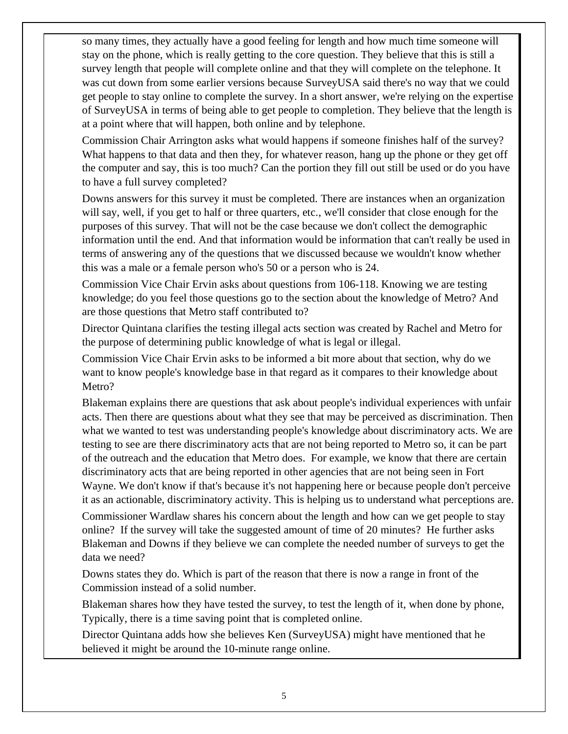so many times, they actually have a good feeling for length and how much time someone will stay on the phone, which is really getting to the core question. They believe that this is still a survey length that people will complete online and that they will complete on the telephone. It was cut down from some earlier versions because SurveyUSA said there's no way that we could get people to stay online to complete the survey. In a short answer, we're relying on the expertise of SurveyUSA in terms of being able to get people to completion. They believe that the length is at a point where that will happen, both online and by telephone.

Commission Chair Arrington asks what would happens if someone finishes half of the survey? What happens to that data and then they, for whatever reason, hang up the phone or they get off the computer and say, this is too much? Can the portion they fill out still be used or do you have to have a full survey completed?

Downs answers for this survey it must be completed. There are instances when an organization will say, well, if you get to half or three quarters, etc., we'll consider that close enough for the purposes of this survey. That will not be the case because we don't collect the demographic information until the end. And that information would be information that can't really be used in terms of answering any of the questions that we discussed because we wouldn't know whether this was a male or a female person who's 50 or a person who is 24.

Commission Vice Chair Ervin asks about questions from 106-118. Knowing we are testing knowledge; do you feel those questions go to the section about the knowledge of Metro? And are those questions that Metro staff contributed to?

Director Quintana clarifies the testing illegal acts section was created by Rachel and Metro for the purpose of determining public knowledge of what is legal or illegal.

Commission Vice Chair Ervin asks to be informed a bit more about that section, why do we want to know people's knowledge base in that regard as it compares to their knowledge about Metro?

Blakeman explains there are questions that ask about people's individual experiences with unfair acts. Then there are questions about what they see that may be perceived as discrimination. Then what we wanted to test was understanding people's knowledge about discriminatory acts. We are testing to see are there discriminatory acts that are not being reported to Metro so, it can be part of the outreach and the education that Metro does. For example, we know that there are certain discriminatory acts that are being reported in other agencies that are not being seen in Fort Wayne. We don't know if that's because it's not happening here or because people don't perceive it as an actionable, discriminatory activity. This is helping us to understand what perceptions are.

Commissioner Wardlaw shares his concern about the length and how can we get people to stay online? If the survey will take the suggested amount of time of 20 minutes? He further asks Blakeman and Downs if they believe we can complete the needed number of surveys to get the data we need?

Downs states they do. Which is part of the reason that there is now a range in front of the Commission instead of a solid number.

Blakeman shares how they have tested the survey, to test the length of it, when done by phone, Typically, there is a time saving point that is completed online.

Director Quintana adds how she believes Ken (SurveyUSA) might have mentioned that he believed it might be around the 10-minute range online.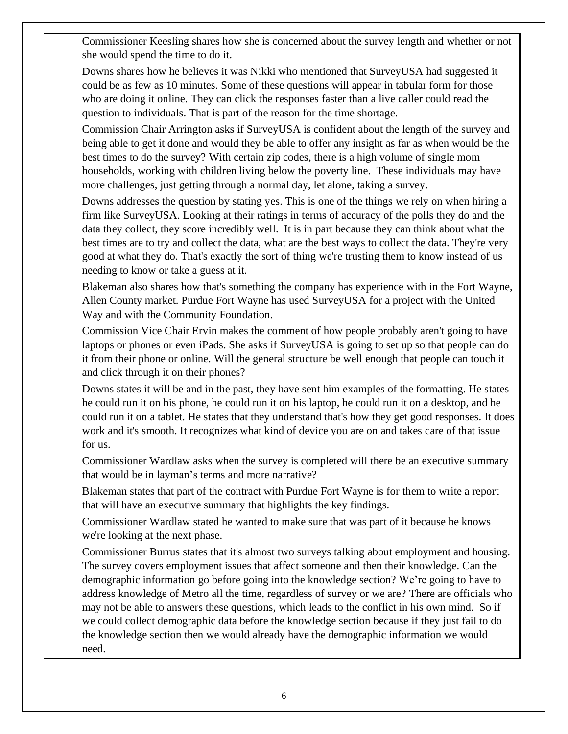Commissioner Keesling shares how she is concerned about the survey length and whether or not she would spend the time to do it.

Downs shares how he believes it was Nikki who mentioned that SurveyUSA had suggested it could be as few as 10 minutes. Some of these questions will appear in tabular form for those who are doing it online. They can click the responses faster than a live caller could read the question to individuals. That is part of the reason for the time shortage.

Commission Chair Arrington asks if SurveyUSA is confident about the length of the survey and being able to get it done and would they be able to offer any insight as far as when would be the best times to do the survey? With certain zip codes, there is a high volume of single mom households, working with children living below the poverty line. These individuals may have more challenges, just getting through a normal day, let alone, taking a survey.

Downs addresses the question by stating yes. This is one of the things we rely on when hiring a firm like SurveyUSA. Looking at their ratings in terms of accuracy of the polls they do and the data they collect, they score incredibly well. It is in part because they can think about what the best times are to try and collect the data, what are the best ways to collect the data. They're very good at what they do. That's exactly the sort of thing we're trusting them to know instead of us needing to know or take a guess at it.

Blakeman also shares how that's something the company has experience with in the Fort Wayne, Allen County market. Purdue Fort Wayne has used SurveyUSA for a project with the United Way and with the Community Foundation.

Commission Vice Chair Ervin makes the comment of how people probably aren't going to have laptops or phones or even iPads. She asks if SurveyUSA is going to set up so that people can do it from their phone or online. Will the general structure be well enough that people can touch it and click through it on their phones?

Downs states it will be and in the past, they have sent him examples of the formatting. He states he could run it on his phone, he could run it on his laptop, he could run it on a desktop, and he could run it on a tablet. He states that they understand that's how they get good responses. It does work and it's smooth. It recognizes what kind of device you are on and takes care of that issue for us.

Commissioner Wardlaw asks when the survey is completed will there be an executive summary that would be in layman's terms and more narrative?

Blakeman states that part of the contract with Purdue Fort Wayne is for them to write a report that will have an executive summary that highlights the key findings.

Commissioner Wardlaw stated he wanted to make sure that was part of it because he knows we're looking at the next phase.

Commissioner Burrus states that it's almost two surveys talking about employment and housing. The survey covers employment issues that affect someone and then their knowledge. Can the demographic information go before going into the knowledge section? We're going to have to address knowledge of Metro all the time, regardless of survey or we are? There are officials who may not be able to answers these questions, which leads to the conflict in his own mind. So if we could collect demographic data before the knowledge section because if they just fail to do the knowledge section then we would already have the demographic information we would need.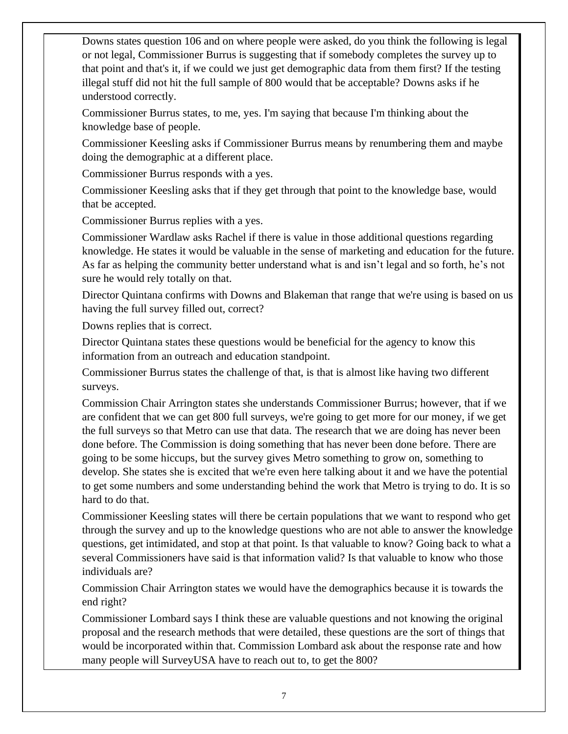Downs states question 106 and on where people were asked, do you think the following is legal or not legal, Commissioner Burrus is suggesting that if somebody completes the survey up to that point and that's it, if we could we just get demographic data from them first? If the testing illegal stuff did not hit the full sample of 800 would that be acceptable? Downs asks if he understood correctly.

Commissioner Burrus states, to me, yes. I'm saying that because I'm thinking about the knowledge base of people.

Commissioner Keesling asks if Commissioner Burrus means by renumbering them and maybe doing the demographic at a different place.

Commissioner Burrus responds with a yes.

Commissioner Keesling asks that if they get through that point to the knowledge base, would that be accepted.

Commissioner Burrus replies with a yes.

Commissioner Wardlaw asks Rachel if there is value in those additional questions regarding knowledge. He states it would be valuable in the sense of marketing and education for the future. As far as helping the community better understand what is and isn't legal and so forth, he's not sure he would rely totally on that.

Director Quintana confirms with Downs and Blakeman that range that we're using is based on us having the full survey filled out, correct?

Downs replies that is correct.

Director Quintana states these questions would be beneficial for the agency to know this information from an outreach and education standpoint.

Commissioner Burrus states the challenge of that, is that is almost like having two different surveys.

Commission Chair Arrington states she understands Commissioner Burrus; however, that if we are confident that we can get 800 full surveys, we're going to get more for our money, if we get the full surveys so that Metro can use that data. The research that we are doing has never been done before. The Commission is doing something that has never been done before. There are going to be some hiccups, but the survey gives Metro something to grow on, something to develop. She states she is excited that we're even here talking about it and we have the potential to get some numbers and some understanding behind the work that Metro is trying to do. It is so hard to do that.

Commissioner Keesling states will there be certain populations that we want to respond who get through the survey and up to the knowledge questions who are not able to answer the knowledge questions, get intimidated, and stop at that point. Is that valuable to know? Going back to what a several Commissioners have said is that information valid? Is that valuable to know who those individuals are?

Commission Chair Arrington states we would have the demographics because it is towards the end right?

Commissioner Lombard says I think these are valuable questions and not knowing the original proposal and the research methods that were detailed, these questions are the sort of things that would be incorporated within that. Commission Lombard ask about the response rate and how many people will SurveyUSA have to reach out to, to get the 800?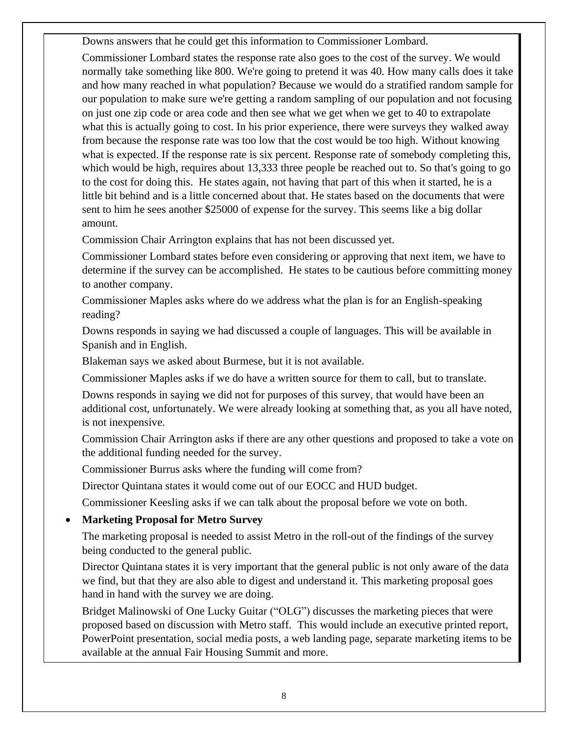Downs answers that he could get this information to Commissioner Lombard.

Commissioner Lombard states the response rate also goes to the cost of the survey. We would normally take something like 800. We're going to pretend it was 40. How many calls does it take and how many reached in what population? Because we would do a stratified random sample for our population to make sure we're getting a random sampling of our population and not focusing on just one zip code or area code and then see what we get when we get to 40 to extrapolate what this is actually going to cost. In his prior experience, there were surveys they walked away from because the response rate was too low that the cost would be too high. Without knowing what is expected. If the response rate is six percent. Response rate of somebody completing this, which would be high, requires about 13,333 three people be reached out to. So that's going to go to the cost for doing this. He states again, not having that part of this when it started, he is a little bit behind and is a little concerned about that. He states based on the documents that were sent to him he sees another \$25000 of expense for the survey. This seems like a big dollar amount.

Commission Chair Arrington explains that has not been discussed yet.

Commissioner Lombard states before even considering or approving that next item, we have to determine if the survey can be accomplished. He states to be cautious before committing money to another company.

Commissioner Maples asks where do we address what the plan is for an English-speaking reading?

Downs responds in saying we had discussed a couple of languages. This will be available in Spanish and in English.

Blakeman says we asked about Burmese, but it is not available.

Commissioner Maples asks if we do have a written source for them to call, but to translate.

Downs responds in saying we did not for purposes of this survey, that would have been an additional cost, unfortunately. We were already looking at something that, as you all have noted, is not inexpensive.

Commission Chair Arrington asks if there are any other questions and proposed to take a vote on the additional funding needed for the survey.

Commissioner Burrus asks where the funding will come from?

Director Quintana states it would come out of our EOCC and HUD budget.

Commissioner Keesling asks if we can talk about the proposal before we vote on both.

## • **Marketing Proposal for Metro Survey**

The marketing proposal is needed to assist Metro in the roll-out of the findings of the survey being conducted to the general public.

Director Quintana states it is very important that the general public is not only aware of the data we find, but that they are also able to digest and understand it. This marketing proposal goes hand in hand with the survey we are doing.

Bridget Malinowski of One Lucky Guitar ("OLG") discusses the marketing pieces that were proposed based on discussion with Metro staff. This would include an executive printed report, PowerPoint presentation, social media posts, a web landing page, separate marketing items to be available at the annual Fair Housing Summit and more.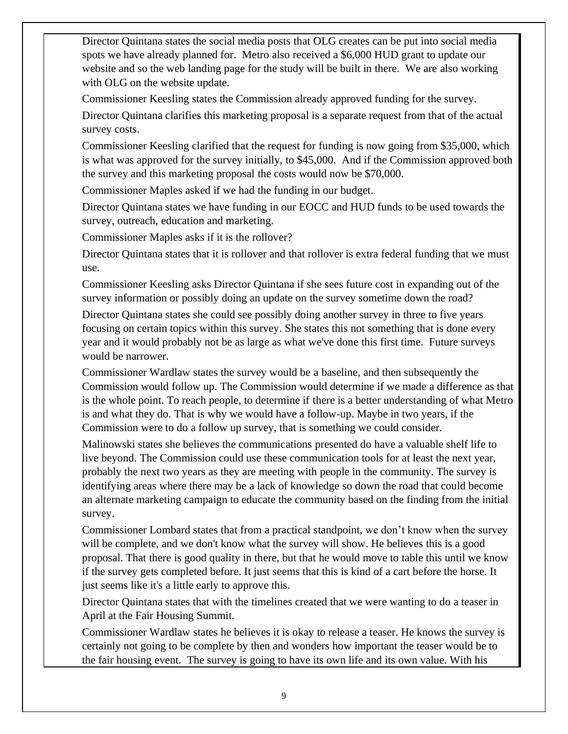Director Quintana states the social media posts that OLG creates can be put into social media spots we have already planned for. Metro also received a \$6,000 HUD grant to update our website and so the web landing page for the study will be built in there. We are also working with OLG on the website update.

Commissioner Keesling states the Commission already approved funding for the survey.

Director Quintana clarifies this marketing proposal is a separate request from that of the actual survey costs.

Commissioner Keesling clarified that the request for funding is now going from \$35,000, which is what was approved for the survey initially, to \$45,000. And if the Commission approved both the survey and this marketing proposal the costs would now be \$70,000.

Commissioner Maples asked if we had the funding in our budget.

Director Quintana states we have funding in our EOCC and HUD funds to be used towards the survey, outreach, education and marketing.

Commissioner Maples asks if it is the rollover?

Director Quintana states that it is rollover and that rollover is extra federal funding that we must use.

Commissioner Keesling asks Director Quintana if she sees future cost in expanding out of the survey information or possibly doing an update on the survey sometime down the road?

Director Quintana states she could see possibly doing another survey in three to five years focusing on certain topics within this survey. She states this not something that is done every year and it would probably not be as large as what we've done this first time. Future surveys would be narrower.

Commissioner Wardlaw states the survey would be a baseline, and then subsequently the Commission would follow up. The Commission would determine if we made a difference as that is the whole point. To reach people, to determine if there is a better understanding of what Metro is and what they do. That is why we would have a follow-up. Maybe in two years, if the Commission were to do a follow up survey, that is something we could consider.

Malinowski states she believes the communications presented do have a valuable shelf life to live beyond. The Commission could use these communication tools for at least the next year, probably the next two years as they are meeting with people in the community. The survey is identifying areas where there may be a lack of knowledge so down the road that could become an alternate marketing campaign to educate the community based on the finding from the initial survey.

Commissioner Lombard states that from a practical standpoint, we don't know when the survey will be complete, and we don't know what the survey will show. He believes this is a good proposal. That there is good quality in there, but that he would move to table this until we know if the survey gets completed before. It just seems that this is kind of a cart before the horse. It just seems like it's a little early to approve this.

Director Quintana states that with the timelines created that we were wanting to do a teaser in April at the Fair Housing Summit.

Commissioner Wardlaw states he believes it is okay to release a teaser. He knows the survey is certainly not going to be complete by then and wonders how important the teaser would be to the fair housing event. The survey is going to have its own life and its own value. With his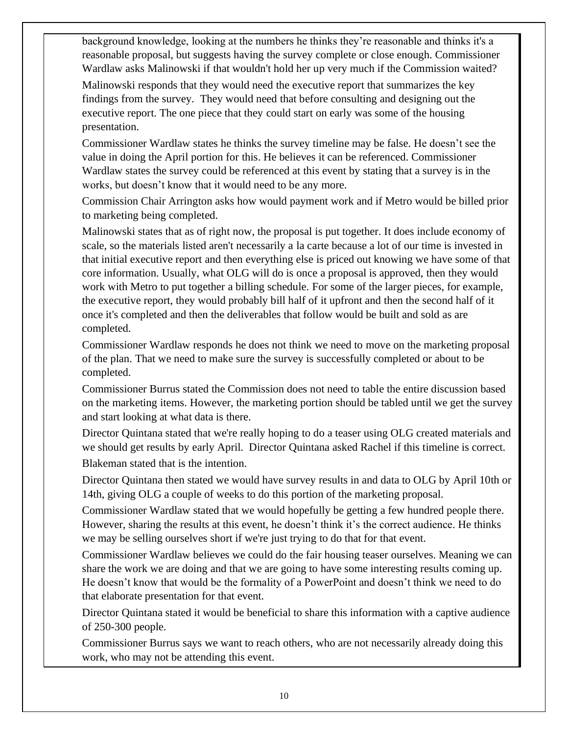background knowledge, looking at the numbers he thinks they're reasonable and thinks it's a reasonable proposal, but suggests having the survey complete or close enough. Commissioner Wardlaw asks Malinowski if that wouldn't hold her up very much if the Commission waited?

Malinowski responds that they would need the executive report that summarizes the key findings from the survey. They would need that before consulting and designing out the executive report. The one piece that they could start on early was some of the housing presentation.

Commissioner Wardlaw states he thinks the survey timeline may be false. He doesn't see the value in doing the April portion for this. He believes it can be referenced. Commissioner Wardlaw states the survey could be referenced at this event by stating that a survey is in the works, but doesn't know that it would need to be any more.

Commission Chair Arrington asks how would payment work and if Metro would be billed prior to marketing being completed.

Malinowski states that as of right now, the proposal is put together. It does include economy of scale, so the materials listed aren't necessarily a la carte because a lot of our time is invested in that initial executive report and then everything else is priced out knowing we have some of that core information. Usually, what OLG will do is once a proposal is approved, then they would work with Metro to put together a billing schedule. For some of the larger pieces, for example, the executive report, they would probably bill half of it upfront and then the second half of it once it's completed and then the deliverables that follow would be built and sold as are completed.

Commissioner Wardlaw responds he does not think we need to move on the marketing proposal of the plan. That we need to make sure the survey is successfully completed or about to be completed.

Commissioner Burrus stated the Commission does not need to table the entire discussion based on the marketing items. However, the marketing portion should be tabled until we get the survey and start looking at what data is there.

Director Quintana stated that we're really hoping to do a teaser using OLG created materials and we should get results by early April. Director Quintana asked Rachel if this timeline is correct. Blakeman stated that is the intention.

Director Quintana then stated we would have survey results in and data to OLG by April 10th or 14th, giving OLG a couple of weeks to do this portion of the marketing proposal.

Commissioner Wardlaw stated that we would hopefully be getting a few hundred people there. However, sharing the results at this event, he doesn't think it's the correct audience. He thinks we may be selling ourselves short if we're just trying to do that for that event.

Commissioner Wardlaw believes we could do the fair housing teaser ourselves. Meaning we can share the work we are doing and that we are going to have some interesting results coming up. He doesn't know that would be the formality of a PowerPoint and doesn't think we need to do that elaborate presentation for that event.

Director Quintana stated it would be beneficial to share this information with a captive audience of 250-300 people.

Commissioner Burrus says we want to reach others, who are not necessarily already doing this work, who may not be attending this event.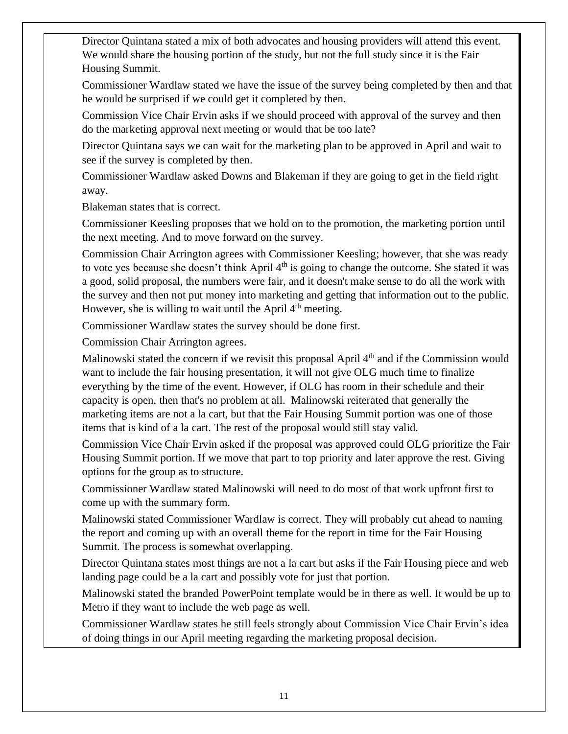Director Quintana stated a mix of both advocates and housing providers will attend this event. We would share the housing portion of the study, but not the full study since it is the Fair Housing Summit.

Commissioner Wardlaw stated we have the issue of the survey being completed by then and that he would be surprised if we could get it completed by then.

Commission Vice Chair Ervin asks if we should proceed with approval of the survey and then do the marketing approval next meeting or would that be too late?

Director Quintana says we can wait for the marketing plan to be approved in April and wait to see if the survey is completed by then.

Commissioner Wardlaw asked Downs and Blakeman if they are going to get in the field right away.

Blakeman states that is correct.

Commissioner Keesling proposes that we hold on to the promotion, the marketing portion until the next meeting. And to move forward on the survey.

Commission Chair Arrington agrees with Commissioner Keesling; however, that she was ready to vote yes because she doesn't think April  $4<sup>th</sup>$  is going to change the outcome. She stated it was a good, solid proposal, the numbers were fair, and it doesn't make sense to do all the work with the survey and then not put money into marketing and getting that information out to the public. However, she is willing to wait until the April  $4<sup>th</sup>$  meeting.

Commissioner Wardlaw states the survey should be done first.

Commission Chair Arrington agrees.

Malinowski stated the concern if we revisit this proposal April  $4<sup>th</sup>$  and if the Commission would want to include the fair housing presentation, it will not give OLG much time to finalize everything by the time of the event. However, if OLG has room in their schedule and their capacity is open, then that's no problem at all. Malinowski reiterated that generally the marketing items are not a la cart, but that the Fair Housing Summit portion was one of those items that is kind of a la cart. The rest of the proposal would still stay valid.

Commission Vice Chair Ervin asked if the proposal was approved could OLG prioritize the Fair Housing Summit portion. If we move that part to top priority and later approve the rest. Giving options for the group as to structure.

Commissioner Wardlaw stated Malinowski will need to do most of that work upfront first to come up with the summary form.

Malinowski stated Commissioner Wardlaw is correct. They will probably cut ahead to naming the report and coming up with an overall theme for the report in time for the Fair Housing Summit. The process is somewhat overlapping.

Director Quintana states most things are not a la cart but asks if the Fair Housing piece and web landing page could be a la cart and possibly vote for just that portion.

Malinowski stated the branded PowerPoint template would be in there as well. It would be up to Metro if they want to include the web page as well.

Commissioner Wardlaw states he still feels strongly about Commission Vice Chair Ervin's idea of doing things in our April meeting regarding the marketing proposal decision.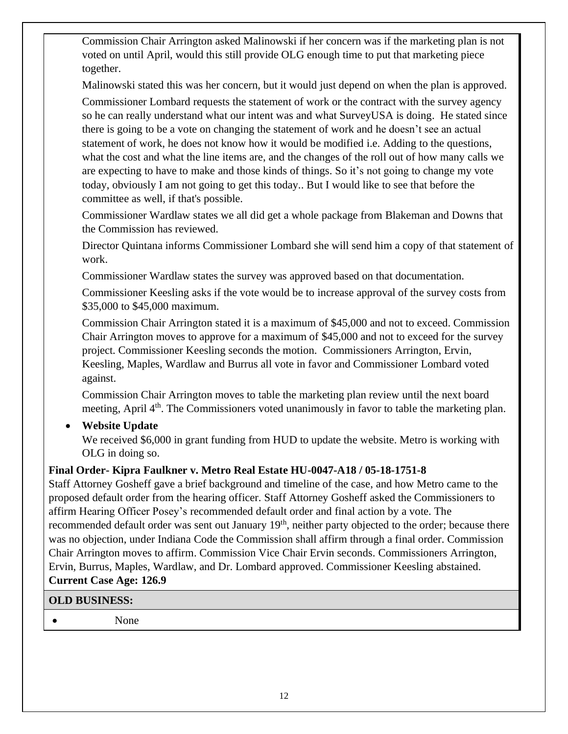Commission Chair Arrington asked Malinowski if her concern was if the marketing plan is not voted on until April, would this still provide OLG enough time to put that marketing piece together.

Malinowski stated this was her concern, but it would just depend on when the plan is approved.

Commissioner Lombard requests the statement of work or the contract with the survey agency so he can really understand what our intent was and what SurveyUSA is doing. He stated since there is going to be a vote on changing the statement of work and he doesn't see an actual statement of work, he does not know how it would be modified i.e. Adding to the questions, what the cost and what the line items are, and the changes of the roll out of how many calls we are expecting to have to make and those kinds of things. So it's not going to change my vote today, obviously I am not going to get this today.. But I would like to see that before the committee as well, if that's possible.

Commissioner Wardlaw states we all did get a whole package from Blakeman and Downs that the Commission has reviewed.

Director Quintana informs Commissioner Lombard she will send him a copy of that statement of work.

Commissioner Wardlaw states the survey was approved based on that documentation.

Commissioner Keesling asks if the vote would be to increase approval of the survey costs from \$35,000 to \$45,000 maximum.

Commission Chair Arrington stated it is a maximum of \$45,000 and not to exceed. Commission Chair Arrington moves to approve for a maximum of \$45,000 and not to exceed for the survey project. Commissioner Keesling seconds the motion. Commissioners Arrington, Ervin, Keesling, Maples, Wardlaw and Burrus all vote in favor and Commissioner Lombard voted against.

Commission Chair Arrington moves to table the marketing plan review until the next board meeting, April 4<sup>th</sup>. The Commissioners voted unanimously in favor to table the marketing plan.

## • **Website Update**

We received \$6,000 in grant funding from HUD to update the website. Metro is working with OLG in doing so.

## **Final Order- Kipra Faulkner v. Metro Real Estate HU-0047-A18 / 05-18-1751-8**

Staff Attorney Gosheff gave a brief background and timeline of the case, and how Metro came to the proposed default order from the hearing officer. Staff Attorney Gosheff asked the Commissioners to affirm Hearing Officer Posey's recommended default order and final action by a vote. The recommended default order was sent out January 19<sup>th</sup>, neither party objected to the order; because there was no objection, under Indiana Code the Commission shall affirm through a final order. Commission Chair Arrington moves to affirm. Commission Vice Chair Ervin seconds. Commissioners Arrington, Ervin, Burrus, Maples, Wardlaw, and Dr. Lombard approved. Commissioner Keesling abstained. **Current Case Age: 126.9**

## **OLD BUSINESS:**

• None